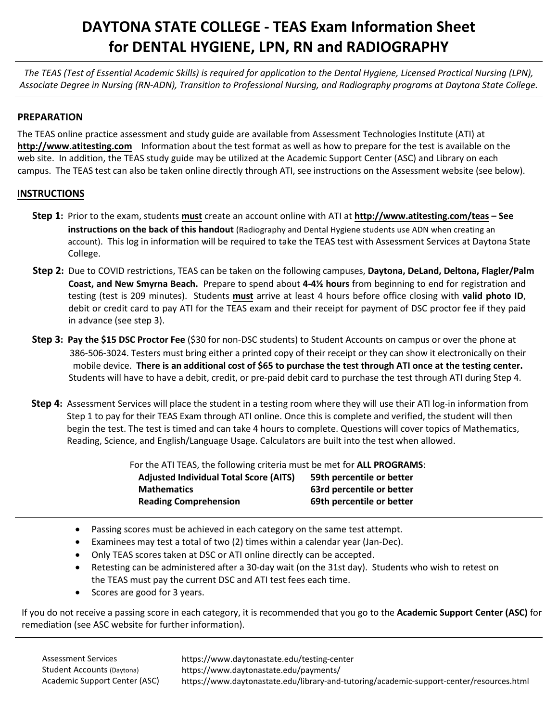## **DAYTONA STATE COLLEGE - TEAS Exam Information Sheet for DENTAL HYGIENE, LPN, RN and RADIOGRAPHY**

*The TEAS (Test of Essential Academic Skills) is required for application to the Dental Hygiene, Licensed Practical Nursing (LPN), Associate Degree in Nursing (RN-ADN), Transition to Professional Nursing, and Radiography programs at Daytona State College.*

## **PREPARATION**

The TEAS online practice assessment and study guide are available from Assessment Technologies Institute (ATI) at **http://www.atitesting.com** Information about the test format as well as how to prepare for the test is available on the web site. In addition, the TEAS study guide may be utilized at the Academic Support Center (ASC) and Library on each campus. The TEAS test can also be taken online directly through ATI, see instructions on the Assessment website (see below).

## **INSTRUCTIONS**

- **Step 1:** Prior to the exam, students **must** create an account online with ATI at **http://www.atitesting.com/teas See instructions on the back of this handout** (Radiography and Dental Hygiene students use ADN when creating an account). This log in information will be required to take the TEAS test with Assessment Services at Daytona State College.
- **Step 2:** Due to COVID restrictions, TEAS can be taken on the following campuses, **Daytona, DeLand, Deltona, Flagler/Palm Coast, and New Smyrna Beach.** Prepare to spend about **4-4½ hours** from beginning to end for registration and testing (test is 209 minutes). Students **must** arrive at least 4 hours before office closing with **valid photo ID**, debit or credit card to pay ATI for the TEAS exam and their receipt for payment of DSC proctor fee if they paid in advance (see step 3).
- **Step 3: Pay the \$15 DSC Proctor Fee** (\$30 for non-DSC students) to Student Accounts on campus or over the phone at 386-506-3024. Testers must bring either a printed copy of their receipt or they can show it electronically on their mobile device. **There is an additional cost of \$65 to purchase the test through ATI once at the testing center.** Students will have to have a debit, credit, or pre-paid debit card to purchase the test through ATI during Step 4.
- **Step 4:** Assessment Services will place the student in a testing room where they will use their ATI log-in information from Step 1 to pay for their TEAS Exam through ATI online. Once this is complete and verified, the student will then begin the test. The test is timed and can take 4 hours to complete. Questions will cover topics of Mathematics, Reading, Science, and English/Language Usage. Calculators are built into the test when allowed.

| For the ATI TEAS, the following criteria must be met for <b>ALL PROGRAMS</b> : |                           |  |  |
|--------------------------------------------------------------------------------|---------------------------|--|--|
| <b>Adjusted Individual Total Score (AITS)</b>                                  | 59th percentile or better |  |  |
| <b>Mathematics</b>                                                             | 63rd percentile or better |  |  |
| <b>Reading Comprehension</b>                                                   | 69th percentile or better |  |  |

- Passing scores must be achieved in each category on the same test attempt.
- Examinees may test a total of two (2) times within a calendar year (Jan-Dec).
- Only TEAS scores taken at DSC or ATI online directly can be accepted.
- Retesting can be administered after a 30-day wait (on the 31st day). Students who wish to retest on the TEAS must pay the current DSC and ATI test fees each time.
- Scores are good for 3 years.

If you do not receive a passing score in each category, it is recommended that you go to the **Academic Support Center (ASC)** for remediation (see ASC website for further information).

| <b>Assessment Services</b>    | https://www.daytonastate.edu/testing-center                                              |
|-------------------------------|------------------------------------------------------------------------------------------|
| Student Accounts (Daytona)    | https://www.daytonastate.edu/payments/                                                   |
| Academic Support Center (ASC) | https://www.daytonastate.edu/library-and-tutoring/academic-support-center/resources.html |